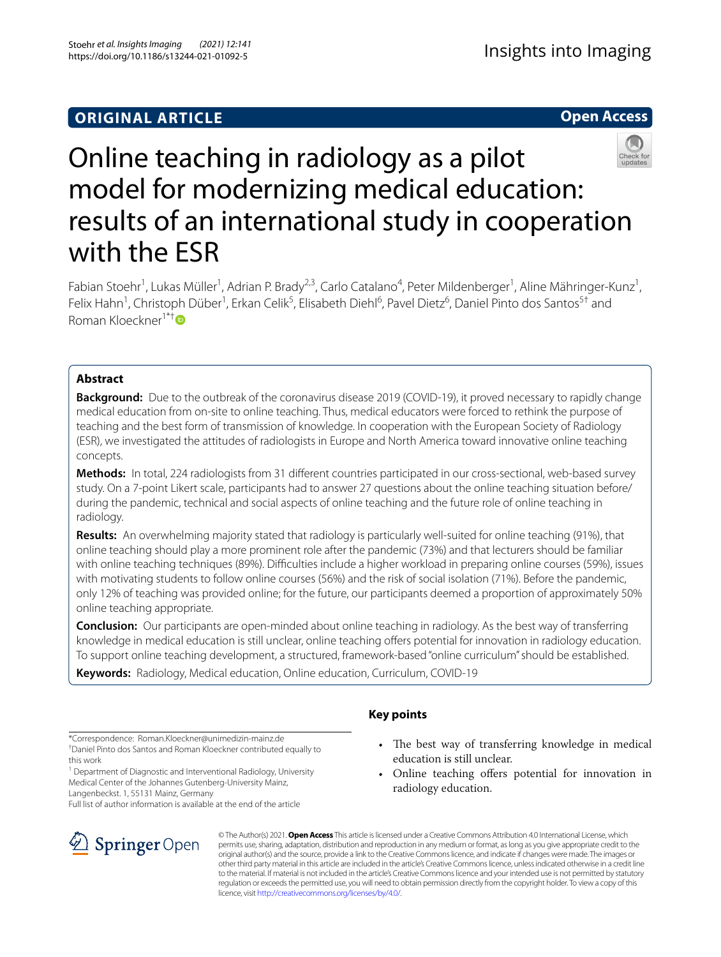# **ORIGINAL ARTICLE**

**Open Access**



# Online teaching in radiology as a pilot model for modernizing medical education: results of an international study in cooperation with the ESR

Fabian Stoehr<sup>1</sup>, Lukas Müller<sup>1</sup>, Adrian P. Brady<sup>2,3</sup>, Carlo Catalano<sup>4</sup>, Peter Mildenberger<sup>1</sup>, Aline Mähringer-Kunz<sup>1</sup>, Felix Hahn<sup>1</sup>, Christoph Düber<sup>1</sup>, Erkan Celik<sup>5</sup>, Elisabeth Diehl<sup>6</sup>, Pavel Dietz<sup>6</sup>, Daniel Pinto dos Santos<sup>5†</sup> and Roman Kloeckner1\*[†](http://orcid.org/0000-0001-5492-4792)

# **Abstract**

**Background:** Due to the outbreak of the coronavirus disease 2019 (COVID-19), it proved necessary to rapidly change medical education from on-site to online teaching. Thus, medical educators were forced to rethink the purpose of teaching and the best form of transmission of knowledge. In cooperation with the European Society of Radiology (ESR), we investigated the attitudes of radiologists in Europe and North America toward innovative online teaching concepts.

**Methods:** In total, 224 radiologists from 31 diferent countries participated in our cross-sectional, web-based survey study. On a 7-point Likert scale, participants had to answer 27 questions about the online teaching situation before/ during the pandemic, technical and social aspects of online teaching and the future role of online teaching in radiology.

**Results:** An overwhelming majority stated that radiology is particularly well-suited for online teaching (91%), that online teaching should play a more prominent role after the pandemic (73%) and that lecturers should be familiar with online teaching techniques (89%). Difficulties include a higher workload in preparing online courses (59%), issues with motivating students to follow online courses (56%) and the risk of social isolation (71%). Before the pandemic, only 12% of teaching was provided online; for the future, our participants deemed a proportion of approximately 50% online teaching appropriate.

**Conclusion:** Our participants are open-minded about online teaching in radiology. As the best way of transferring knowledge in medical education is still unclear, online teaching offers potential for innovation in radiology education. To support online teaching development, a structured, framework-based "online curriculum" should be established.

**Keywords:** Radiology, Medical education, Online education, Curriculum, COVID-19

# **Key points**

† Daniel Pinto dos Santos and Roman Kloeckner contributed equally to this work

<sup>1</sup> Department of Diagnostic and Interventional Radiology, University Medical Center of the Johannes Gutenberg-University Mainz, Langenbeckst. 1, 55131 Mainz, Germany

Full list of author information is available at the end of the article



- The best way of transferring knowledge in medical education is still unclear.
- Online teaching offers potential for innovation in radiology education.

© The Author(s) 2021. **Open Access** This article is licensed under a Creative Commons Attribution 4.0 International License, which permits use, sharing, adaptation, distribution and reproduction in any medium or format, as long as you give appropriate credit to the original author(s) and the source, provide a link to the Creative Commons licence, and indicate if changes were made. The images or other third party material in this article are included in the article's Creative Commons licence, unless indicated otherwise in a credit line to the material. If material is not included in the article's Creative Commons licence and your intended use is not permitted by statutory regulation or exceeds the permitted use, you will need to obtain permission directly from the copyright holder. To view a copy of this licence, visit [http://creativecommons.org/licenses/by/4.0/.](http://creativecommons.org/licenses/by/4.0/)

<sup>\*</sup>Correspondence: Roman.Kloeckner@unimedizin-mainz.de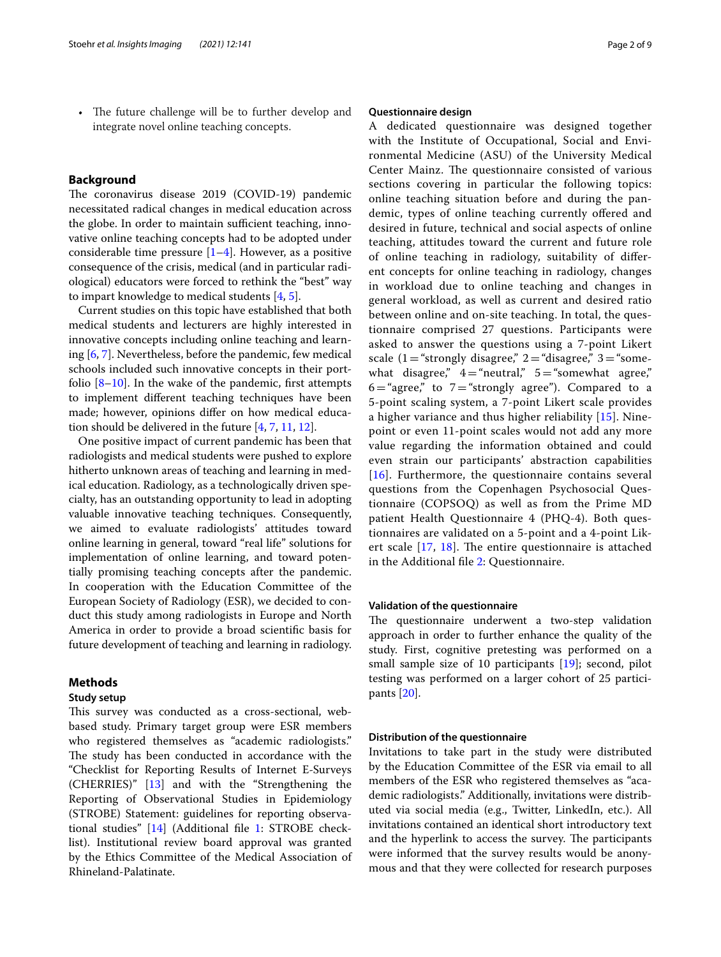The future challenge will be to further develop and integrate novel online teaching concepts.

# **Background**

The coronavirus disease 2019 (COVID-19) pandemic necessitated radical changes in medical education across the globe. In order to maintain sufficient teaching, innovative online teaching concepts had to be adopted under considerable time pressure  $[1-4]$  $[1-4]$  $[1-4]$ . However, as a positive consequence of the crisis, medical (and in particular radiological) educators were forced to rethink the "best" way to impart knowledge to medical students [[4,](#page-8-1) [5](#page-8-2)].

Current studies on this topic have established that both medical students and lecturers are highly interested in innovative concepts including online teaching and learning [[6,](#page-8-3) [7\]](#page-8-4). Nevertheless, before the pandemic, few medical schools included such innovative concepts in their portfolio  $[8-10]$  $[8-10]$ . In the wake of the pandemic, first attempts to implement diferent teaching techniques have been made; however, opinions difer on how medical education should be delivered in the future [\[4](#page-8-1), [7,](#page-8-4) [11](#page-8-7), [12](#page-8-8)].

One positive impact of current pandemic has been that radiologists and medical students were pushed to explore hitherto unknown areas of teaching and learning in medical education. Radiology, as a technologically driven specialty, has an outstanding opportunity to lead in adopting valuable innovative teaching techniques. Consequently, we aimed to evaluate radiologists' attitudes toward online learning in general, toward "real life" solutions for implementation of online learning, and toward potentially promising teaching concepts after the pandemic. In cooperation with the Education Committee of the European Society of Radiology (ESR), we decided to conduct this study among radiologists in Europe and North America in order to provide a broad scientifc basis for future development of teaching and learning in radiology.

# **Methods**

# **Study setup**

This survey was conducted as a cross-sectional, webbased study. Primary target group were ESR members who registered themselves as "academic radiologists." The study has been conducted in accordance with the "Checklist for Reporting Results of Internet E-Surveys (CHERRIES)" [\[13\]](#page-8-9) and with the "Strengthening the Reporting of Observational Studies in Epidemiology (STROBE) Statement: guidelines for reporting observational studies" [[14\]](#page-8-10) (Additional fle [1:](#page-7-0) STROBE checklist). Institutional review board approval was granted by the Ethics Committee of the Medical Association of Rhineland-Palatinate.

#### **Questionnaire design**

A dedicated questionnaire was designed together with the Institute of Occupational, Social and Environmental Medicine (ASU) of the University Medical Center Mainz. The questionnaire consisted of various sections covering in particular the following topics: online teaching situation before and during the pandemic, types of online teaching currently ofered and desired in future, technical and social aspects of online teaching, attitudes toward the current and future role of online teaching in radiology, suitability of diferent concepts for online teaching in radiology, changes in workload due to online teaching and changes in general workload, as well as current and desired ratio between online and on-site teaching. In total, the questionnaire comprised 27 questions. Participants were asked to answer the questions using a 7-point Likert scale  $(1 = "strongly disagree," 2 = "disagree," 3 = "some$ what disagree,"  $4=$ "neutral,"  $5=$ "somewhat agree,"  $6 =$ "agree," to  $7 =$ "strongly agree"). Compared to a 5-point scaling system, a 7-point Likert scale provides a higher variance and thus higher reliability [[15\]](#page-8-11). Ninepoint or even 11-point scales would not add any more value regarding the information obtained and could even strain our participants' abstraction capabilities [[16](#page-8-12)]. Furthermore, the questionnaire contains several questions from the Copenhagen Psychosocial Questionnaire (COPSOQ) as well as from the Prime MD patient Health Questionnaire 4 (PHQ-4). Both questionnaires are validated on a 5-point and a 4-point Likert scale  $[17, 18]$  $[17, 18]$  $[17, 18]$  $[17, 18]$ . The entire questionnaire is attached in the Additional fle [2](#page-7-1): Questionnaire.

# **Validation of the questionnaire**

The questionnaire underwent a two-step validation approach in order to further enhance the quality of the study. First, cognitive pretesting was performed on a small sample size of 10 participants [\[19](#page-8-15)]; second, pilot testing was performed on a larger cohort of 25 participants [[20](#page-8-16)].

# **Distribution of the questionnaire**

Invitations to take part in the study were distributed by the Education Committee of the ESR via email to all members of the ESR who registered themselves as "academic radiologists." Additionally, invitations were distributed via social media (e.g., Twitter, LinkedIn, etc.). All invitations contained an identical short introductory text and the hyperlink to access the survey. The participants were informed that the survey results would be anonymous and that they were collected for research purposes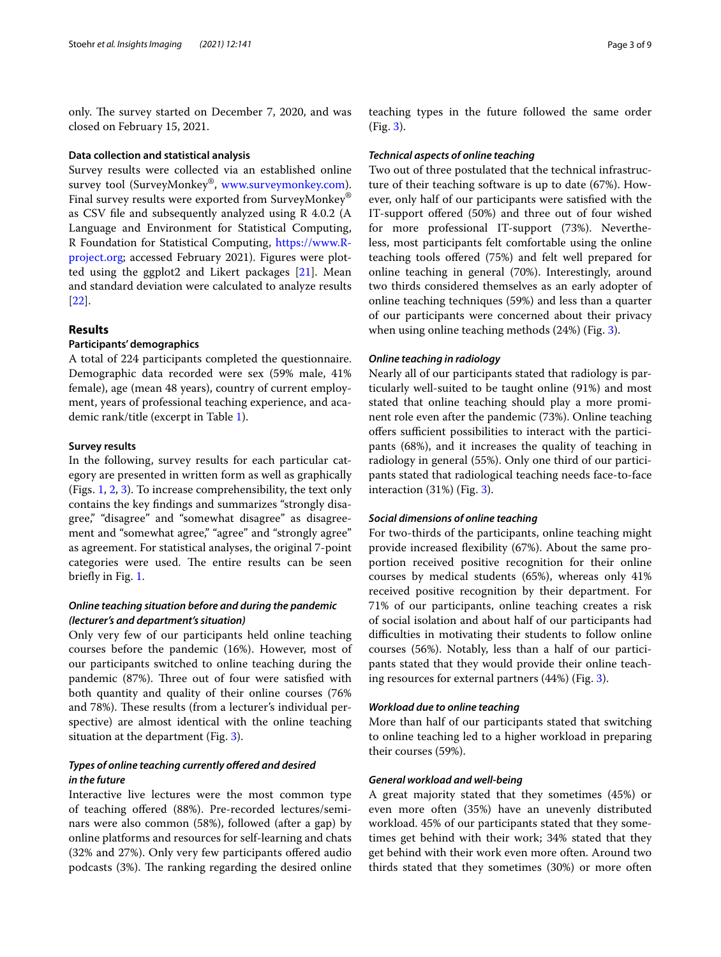only. The survey started on December 7, 2020, and was closed on February 15, 2021.

#### **Data collection and statistical analysis**

Survey results were collected via an established online survey tool (SurveyMonkey®, [www.surveymonkey.com](http://www.surveymonkey.com)). Final survey results were exported from SurveyMonkey® as CSV fle and subsequently analyzed using R 4.0.2 (A Language and Environment for Statistical Computing, R Foundation for Statistical Computing, [https://www.R](https://www.R-project.org)[project.org;](https://www.R-project.org) accessed February 2021). Figures were plotted using the ggplot2 and Likert packages [\[21\]](#page-8-17). Mean and standard deviation were calculated to analyze results [[22\]](#page-8-18).

# **Results**

## **Participants' demographics**

A total of 224 participants completed the questionnaire. Demographic data recorded were sex (59% male, 41% female), age (mean 48 years), country of current employment, years of professional teaching experience, and academic rank/title (excerpt in Table [1\)](#page-3-0).

#### **Survey results**

In the following, survey results for each particular category are presented in written form as well as graphically (Figs. [1,](#page-4-0) [2](#page-5-0), [3\)](#page-5-1). To increase comprehensibility, the text only contains the key fndings and summarizes "strongly disagree," "disagree" and "somewhat disagree" as disagreement and "somewhat agree," "agree" and "strongly agree" as agreement. For statistical analyses, the original 7-point categories were used. The entire results can be seen briefly in Fig. [1](#page-4-0).

# *Online teaching situation before and during the pandemic (lecturer's and department's situation)*

Only very few of our participants held online teaching courses before the pandemic (16%). However, most of our participants switched to online teaching during the pandemic (87%). Three out of four were satisfied with both quantity and quality of their online courses (76% and 78%). These results (from a lecturer's individual perspective) are almost identical with the online teaching situation at the department (Fig. [3\)](#page-5-1).

# *Types of online teaching currently ofered and desired in the future*

Interactive live lectures were the most common type of teaching offered (88%). Pre-recorded lectures/seminars were also common (58%), followed (after a gap) by online platforms and resources for self-learning and chats (32% and 27%). Only very few participants ofered audio podcasts (3%). The ranking regarding the desired online teaching types in the future followed the same order (Fig. [3\)](#page-5-1).

#### *Technical aspects of online teaching*

Two out of three postulated that the technical infrastructure of their teaching software is up to date (67%). However, only half of our participants were satisfed with the IT-support ofered (50%) and three out of four wished for more professional IT-support (73%). Nevertheless, most participants felt comfortable using the online teaching tools ofered (75%) and felt well prepared for online teaching in general (70%). Interestingly, around two thirds considered themselves as an early adopter of online teaching techniques (59%) and less than a quarter of our participants were concerned about their privacy when using online teaching methods (24%) (Fig. [3](#page-5-1)).

#### *Online teaching in radiology*

Nearly all of our participants stated that radiology is particularly well-suited to be taught online (91%) and most stated that online teaching should play a more prominent role even after the pandemic (73%). Online teaching offers sufficient possibilities to interact with the participants (68%), and it increases the quality of teaching in radiology in general (55%). Only one third of our participants stated that radiological teaching needs face-to-face interaction  $(31%)$  $(31%)$  $(31%)$  (Fig. 3).

## *Social dimensions of online teaching*

For two-thirds of the participants, online teaching might provide increased fexibility (67%). About the same proportion received positive recognition for their online courses by medical students (65%), whereas only 41% received positive recognition by their department. For 71% of our participants, online teaching creates a risk of social isolation and about half of our participants had difficulties in motivating their students to follow online courses (56%). Notably, less than a half of our participants stated that they would provide their online teaching resources for external partners (44%) (Fig. [3\)](#page-5-1).

## *Workload due to online teaching*

More than half of our participants stated that switching to online teaching led to a higher workload in preparing their courses (59%).

# *General workload and well‑being*

A great majority stated that they sometimes (45%) or even more often (35%) have an unevenly distributed workload. 45% of our participants stated that they sometimes get behind with their work; 34% stated that they get behind with their work even more often. Around two thirds stated that they sometimes (30%) or more often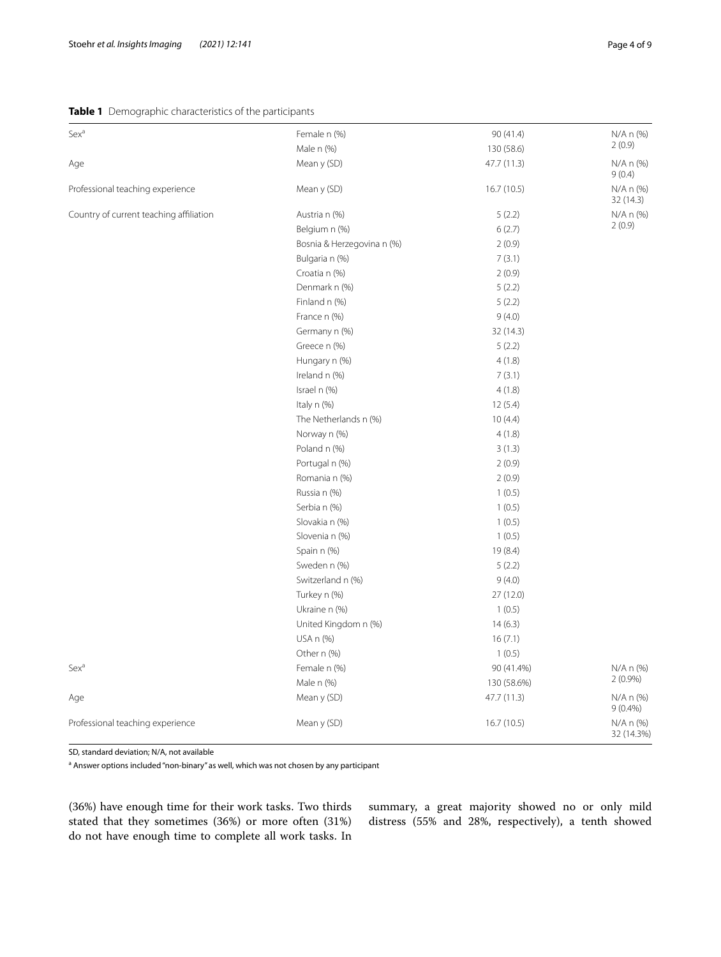# <span id="page-3-0"></span>**Table 1** Demographic characteristics of the participants

| Sex <sup>a</sup>                        | Female n (%)               | 90 (41.4)   | $N/A$ n $(\%)$          |
|-----------------------------------------|----------------------------|-------------|-------------------------|
|                                         | Male n (%)                 | 130 (58.6)  | 2(0.9)                  |
| Age                                     | Mean y (SD)                | 47.7 (11.3) | N/A n (%)<br>9(0.4)     |
| Professional teaching experience        | Mean y (SD)                | 16.7(10.5)  | N/A n (%)<br>32 (14.3)  |
| Country of current teaching affiliation | Austria n (%)              | 5(2.2)      | N/A n (%)               |
|                                         | Belgium n (%)              | 6(2.7)      | 2(0.9)                  |
|                                         | Bosnia & Herzegovina n (%) | 2(0.9)      |                         |
|                                         | Bulgaria n (%)             | 7(3.1)      |                         |
|                                         | Croatia n (%)              | 2(0.9)      |                         |
|                                         | Denmark n (%)              | 5(2.2)      |                         |
|                                         | Finland n (%)              | 5(2.2)      |                         |
|                                         | France n (%)               | 9(4.0)      |                         |
|                                         | Germany n (%)              | 32 (14.3)   |                         |
|                                         | Greece n (%)               | 5(2.2)      |                         |
|                                         | Hungary n (%)              | 4(1.8)      |                         |
|                                         | Ireland n (%)              | 7(3.1)      |                         |
|                                         | Israel n (%)               | 4(1.8)      |                         |
|                                         | Italy n (%)                | 12(5.4)     |                         |
|                                         | The Netherlands n (%)      | 10(4.4)     |                         |
|                                         | Norway n (%)               | 4(1.8)      |                         |
|                                         | Poland n (%)               | 3(1.3)      |                         |
|                                         | Portugal n (%)             | 2(0.9)      |                         |
|                                         | Romania n (%)              | 2(0.9)      |                         |
|                                         | Russia n (%)               | 1(0.5)      |                         |
|                                         | Serbia n (%)               | 1(0.5)      |                         |
|                                         | Slovakia n (%)             | 1(0.5)      |                         |
|                                         | Slovenia n (%)             | 1(0.5)      |                         |
|                                         | Spain n (%)                | 19 (8.4)    |                         |
|                                         | Sweden n (%)               | 5(2.2)      |                         |
|                                         | Switzerland n (%)          | 9(4.0)      |                         |
|                                         | Turkey n (%)               | 27 (12.0)   |                         |
|                                         | Ukraine n (%)              | 1(0.5)      |                         |
|                                         | United Kingdom n (%)       | 14(6.3)     |                         |
|                                         | USA n (%)                  | 16(7.1)     |                         |
|                                         | Other n (%)                | 1(0.5)      |                         |
| Sex <sup>a</sup>                        | Female n (%)               | 90 (41.4%)  | N/A n (%)               |
|                                         | Male n (%)                 | 130 (58.6%) | 2(0.9%)                 |
| Age                                     | Mean y (SD)                | 47.7 (11.3) | N/A n (%)<br>$9(0.4\%)$ |
| Professional teaching experience        | Mean y (SD)                | 16.7 (10.5) | N/A n (%)<br>32 (14.3%) |

SD, standard deviation; N/A, not available

<sup>a</sup> Answer options included "non-binary" as well, which was not chosen by any participant

(36%) have enough time for their work tasks. Two thirds stated that they sometimes (36%) or more often (31%) do not have enough time to complete all work tasks. In

summary, a great majority showed no or only mild distress (55% and 28%, respectively), a tenth showed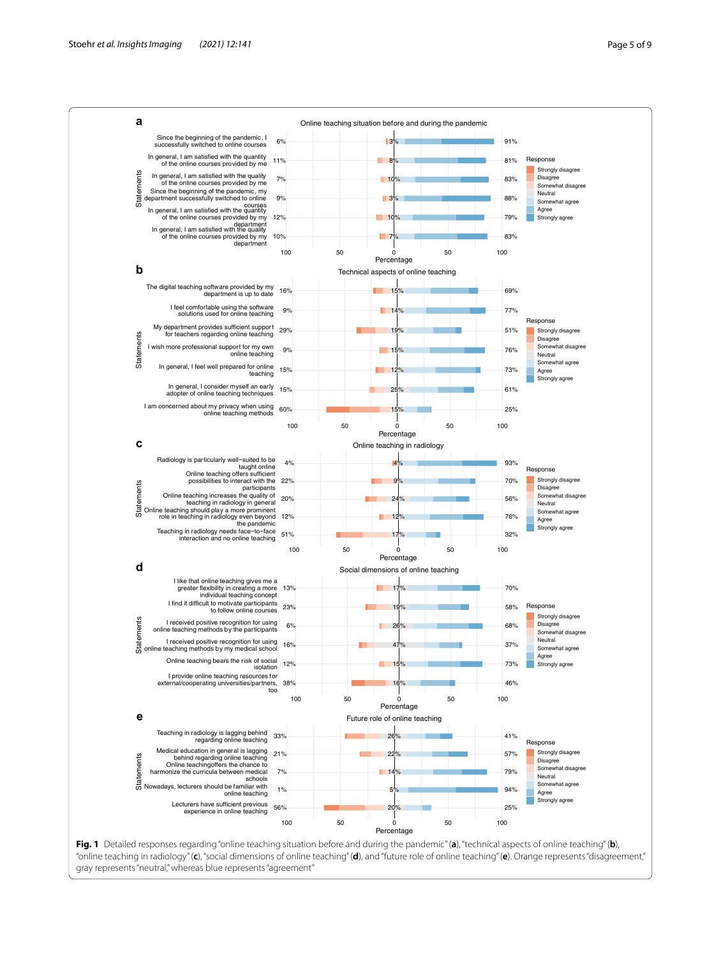

<span id="page-4-0"></span>"online teaching in radiology" (**c**), "social dimensions of online teaching" (**d**), and "future role of online teaching" (**e**). Orange represents "disagreement," gray represents "neutral," whereas blue represents "agreement"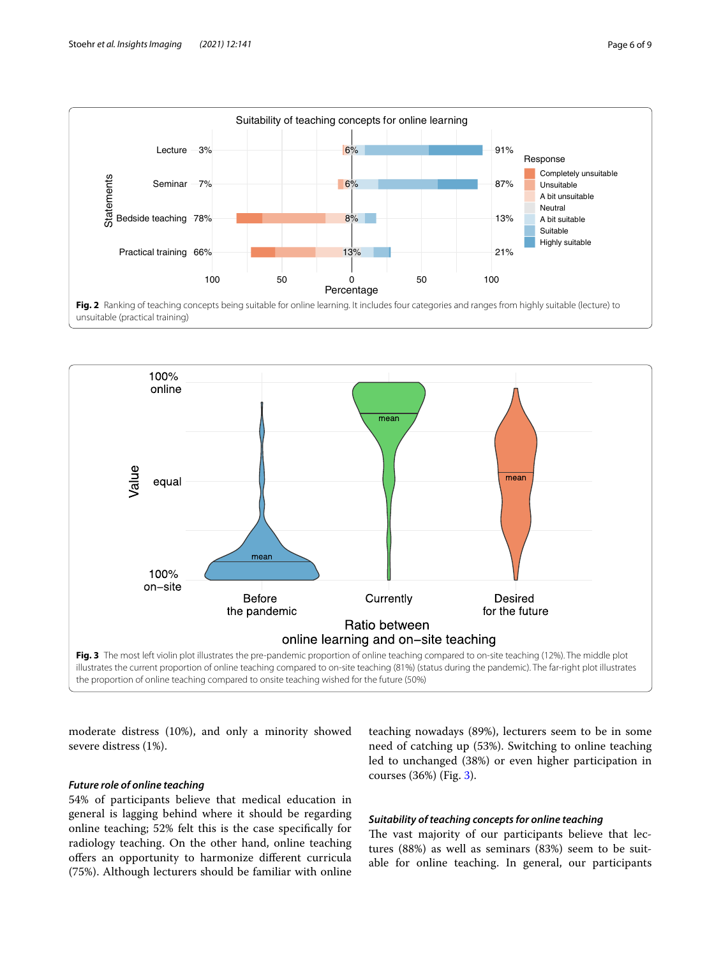

<span id="page-5-0"></span>

<span id="page-5-1"></span>moderate distress (10%), and only a minority showed severe distress (1%).

# *Future role of online teaching*

54% of participants believe that medical education in general is lagging behind where it should be regarding online teaching; 52% felt this is the case specifcally for radiology teaching. On the other hand, online teaching offers an opportunity to harmonize different curricula (75%). Although lecturers should be familiar with online teaching nowadays (89%), lecturers seem to be in some need of catching up (53%). Switching to online teaching led to unchanged (38%) or even higher participation in courses (36%) (Fig. [3](#page-5-1)).

# *Suitability of teaching concepts for online teaching*

The vast majority of our participants believe that lectures (88%) as well as seminars (83%) seem to be suitable for online teaching. In general, our participants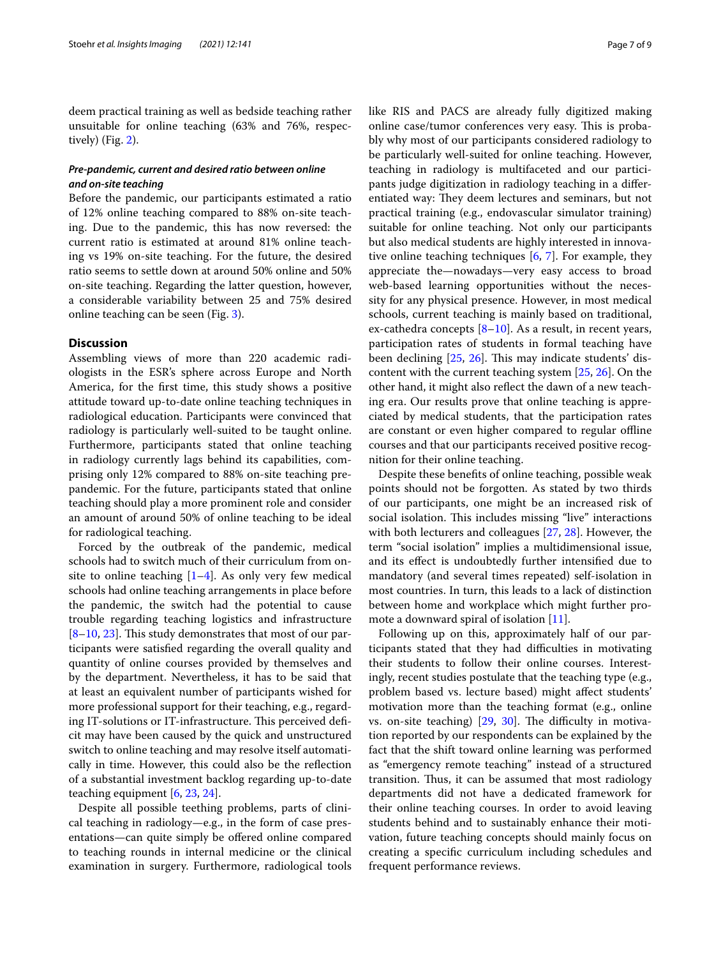deem practical training as well as bedside teaching rather unsuitable for online teaching (63% and 76%, respectively) (Fig. [2](#page-5-0)).

# *Pre‑pandemic, current and desired ratio between online and on‑site teaching*

Before the pandemic, our participants estimated a ratio of 12% online teaching compared to 88% on-site teaching. Due to the pandemic, this has now reversed: the current ratio is estimated at around 81% online teaching vs 19% on-site teaching. For the future, the desired ratio seems to settle down at around 50% online and 50% on-site teaching. Regarding the latter question, however, a considerable variability between 25 and 75% desired online teaching can be seen (Fig. [3](#page-5-1)).

# **Discussion**

Assembling views of more than 220 academic radiologists in the ESR's sphere across Europe and North America, for the frst time, this study shows a positive attitude toward up-to-date online teaching techniques in radiological education. Participants were convinced that radiology is particularly well-suited to be taught online. Furthermore, participants stated that online teaching in radiology currently lags behind its capabilities, comprising only 12% compared to 88% on-site teaching prepandemic. For the future, participants stated that online teaching should play a more prominent role and consider an amount of around 50% of online teaching to be ideal for radiological teaching.

Forced by the outbreak of the pandemic, medical schools had to switch much of their curriculum from onsite to online teaching  $[1-4]$  $[1-4]$ . As only very few medical schools had online teaching arrangements in place before the pandemic, the switch had the potential to cause trouble regarding teaching logistics and infrastructure  $[8-10, 23]$  $[8-10, 23]$  $[8-10, 23]$  $[8-10, 23]$ . This study demonstrates that most of our participants were satisfed regarding the overall quality and quantity of online courses provided by themselves and by the department. Nevertheless, it has to be said that at least an equivalent number of participants wished for more professional support for their teaching, e.g., regarding IT-solutions or IT-infrastructure. This perceived deficit may have been caused by the quick and unstructured switch to online teaching and may resolve itself automatically in time. However, this could also be the refection of a substantial investment backlog regarding up-to-date teaching equipment [[6,](#page-8-3) [23,](#page-8-19) [24](#page-8-20)].

Despite all possible teething problems, parts of clinical teaching in radiology—e.g., in the form of case presentations—can quite simply be ofered online compared to teaching rounds in internal medicine or the clinical examination in surgery. Furthermore, radiological tools like RIS and PACS are already fully digitized making online case/tumor conferences very easy. This is probably why most of our participants considered radiology to be particularly well-suited for online teaching. However, teaching in radiology is multifaceted and our participants judge digitization in radiology teaching in a diferentiated way: They deem lectures and seminars, but not practical training (e.g., endovascular simulator training) suitable for online teaching. Not only our participants but also medical students are highly interested in innovative online teaching techniques [[6](#page-8-3), [7\]](#page-8-4). For example, they appreciate the—nowadays—very easy access to broad web-based learning opportunities without the necessity for any physical presence. However, in most medical schools, current teaching is mainly based on traditional, ex-cathedra concepts [[8–](#page-8-5)[10\]](#page-8-6). As a result, in recent years, participation rates of students in formal teaching have been declining  $[25, 26]$  $[25, 26]$  $[25, 26]$  $[25, 26]$ . This may indicate students' discontent with the current teaching system [[25,](#page-8-21) [26](#page-8-22)]. On the other hand, it might also refect the dawn of a new teaching era. Our results prove that online teaching is appreciated by medical students, that the participation rates are constant or even higher compared to regular ofine courses and that our participants received positive recognition for their online teaching.

Despite these benefts of online teaching, possible weak points should not be forgotten. As stated by two thirds of our participants, one might be an increased risk of social isolation. This includes missing "live" interactions with both lecturers and colleagues [[27,](#page-8-23) [28](#page-8-24)]. However, the term "social isolation" implies a multidimensional issue, and its efect is undoubtedly further intensifed due to mandatory (and several times repeated) self-isolation in most countries. In turn, this leads to a lack of distinction between home and workplace which might further promote a downward spiral of isolation [\[11](#page-8-7)].

Following up on this, approximately half of our participants stated that they had difficulties in motivating their students to follow their online courses. Interestingly, recent studies postulate that the teaching type (e.g., problem based vs. lecture based) might afect students' motivation more than the teaching format (e.g., online vs. on-site teaching)  $[29, 30]$  $[29, 30]$  $[29, 30]$  $[29, 30]$ . The difficulty in motivation reported by our respondents can be explained by the fact that the shift toward online learning was performed as "emergency remote teaching" instead of a structured transition. Thus, it can be assumed that most radiology departments did not have a dedicated framework for their online teaching courses. In order to avoid leaving students behind and to sustainably enhance their motivation, future teaching concepts should mainly focus on creating a specifc curriculum including schedules and frequent performance reviews.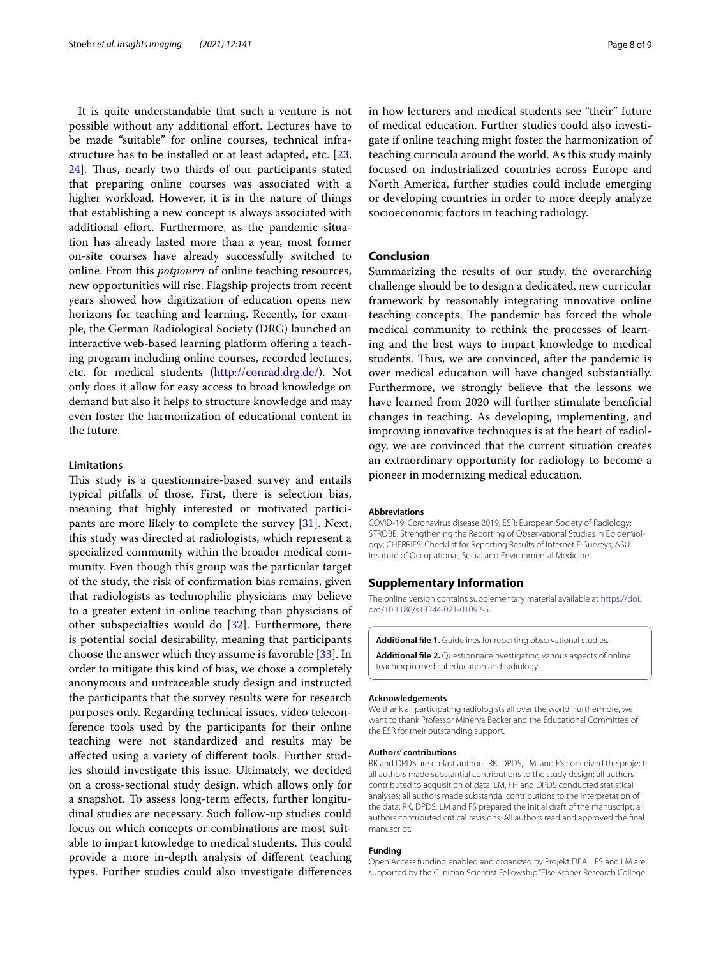It is quite understandable that such a venture is not possible without any additional efort. Lectures have to be made "suitable" for online courses, technical infrastructure has to be installed or at least adapted, etc. [\[23](#page-8-19), [24\]](#page-8-20). Thus, nearly two thirds of our participants stated that preparing online courses was associated with a higher workload. However, it is in the nature of things that establishing a new concept is always associated with additional efort. Furthermore, as the pandemic situation has already lasted more than a year, most former on-site courses have already successfully switched to online. From this *potpourri* of online teaching resources, new opportunities will rise. Flagship projects from recent years showed how digitization of education opens new horizons for teaching and learning. Recently, for example, the German Radiological Society (DRG) launched an interactive web-based learning platform offering a teaching program including online courses, recorded lectures, etc. for medical students (<http://conrad.drg.de/>). Not only does it allow for easy access to broad knowledge on demand but also it helps to structure knowledge and may even foster the harmonization of educational content in the future.

#### **Limitations**

This study is a questionnaire-based survey and entails typical pitfalls of those. First, there is selection bias, meaning that highly interested or motivated participants are more likely to complete the survey [[31\]](#page-8-27). Next, this study was directed at radiologists, which represent a specialized community within the broader medical community. Even though this group was the particular target of the study, the risk of confrmation bias remains, given that radiologists as technophilic physicians may believe to a greater extent in online teaching than physicians of other subspecialties would do [[32\]](#page-8-28). Furthermore, there is potential social desirability, meaning that participants choose the answer which they assume is favorable [\[33](#page-8-29)]. In order to mitigate this kind of bias, we chose a completely anonymous and untraceable study design and instructed the participants that the survey results were for research purposes only. Regarding technical issues, video teleconference tools used by the participants for their online teaching were not standardized and results may be afected using a variety of diferent tools. Further studies should investigate this issue. Ultimately, we decided on a cross-sectional study design, which allows only for a snapshot. To assess long-term efects, further longitudinal studies are necessary. Such follow-up studies could focus on which concepts or combinations are most suitable to impart knowledge to medical students. This could provide a more in-depth analysis of diferent teaching types. Further studies could also investigate diferences in how lecturers and medical students see "their" future of medical education. Further studies could also investigate if online teaching might foster the harmonization of teaching curricula around the world. As this study mainly focused on industrialized countries across Europe and North America, further studies could include emerging or developing countries in order to more deeply analyze socioeconomic factors in teaching radiology.

## **Conclusion**

Summarizing the results of our study, the overarching challenge should be to design a dedicated, new curricular framework by reasonably integrating innovative online teaching concepts. The pandemic has forced the whole medical community to rethink the processes of learning and the best ways to impart knowledge to medical students. Thus, we are convinced, after the pandemic is over medical education will have changed substantially. Furthermore, we strongly believe that the lessons we have learned from 2020 will further stimulate benefcial changes in teaching. As developing, implementing, and improving innovative techniques is at the heart of radiology, we are convinced that the current situation creates an extraordinary opportunity for radiology to become a pioneer in modernizing medical education.

#### **Abbreviations**

COVID-19: Coronavirus disease 2019; ESR: European Society of Radiology; STROBE: Strengthening the Reporting of Observational Studies in Epidemiology; CHERRIES: Checklist for Reporting Results of Internet E-Surveys; ASU: Institute of Occupational, Social and Environmental Medicine.

## **Supplementary Information**

The online version contains supplementary material available at [https://doi.](https://doi.org/10.1186/s13244-021-01092-5) [org/10.1186/s13244-021-01092-5](https://doi.org/10.1186/s13244-021-01092-5).

```
Additional fle 1. Guidelines for reporting observational studies.
```
**Additional fle 2.** Questionnaireinvestigating various aspects of online teaching in medical education and radiology.

#### **Acknowledgements**

We thank all participating radiologists all over the world. Furthermore, we want to thank Professor Minerva Becker and the Educational Committee of the ESR for their outstanding support.

#### **Authors' contributions**

RK and DPDS are co-last authors. RK, DPDS, LM, and FS conceived the project; all authors made substantial contributions to the study design; all authors contributed to acquisition of data; LM, FH and DPDS conducted statistical analyses; all authors made substantial contributions to the interpretation of the data; RK, DPDS, LM and FS prepared the initial draft of the manuscript; all authors contributed critical revisions. All authors read and approved the fnal manuscript.

#### **Funding**

Open Access funding enabled and organized by Projekt DEAL. FS and LM are supported by the Clinician Scientist Fellowship "Else Kröner Research College: